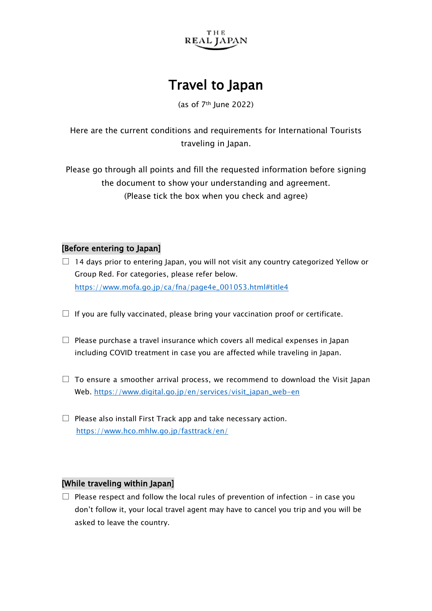

# Travel to Japan

(as of  $7<sup>th</sup>$  June 2022)

Here are the current conditions and requirements for International Tourists traveling in Japan.

Please go through all points and fill the requested information before signing the document to show your understanding and agreement. (Please tick the box when you check and agree)

### [Before entering to Japan]

- $\Box$  14 days prior to entering Japan, you will not visit any country categorized Yellow or Group Red. For categories, please refer below. https://www.mofa.go.jp/ca/fna/page4e\_001053.html#title4
- $\Box$  If you are fully vaccinated, please bring your vaccination proof or certificate.
- $\Box$  Please purchase a travel insurance which covers all medical expenses in Japan including COVID treatment in case you are affected while traveling in Japan.
- $\Box$  To ensure a smoother arrival process, we recommend to download the Visit Japan Web. https://www.digital.go.jp/en/services/visit\_japan\_web-en
- $\Box$  Please also install First Track app and take necessary action. https://www.hco.mhlw.go.jp/fasttrack/en/

#### [While traveling within Japan]

 $\Box$  Please respect and follow the local rules of prevention of infection - in case you don't follow it, your local travel agent may have to cancel you trip and you will be asked to leave the country.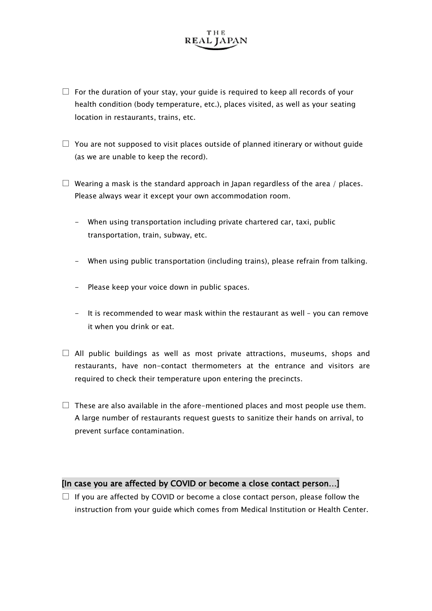# **REAL JAPAN**

- $\square$  For the duration of your stay, your quide is required to keep all records of your health condition (body temperature, etc.), places visited, as well as your seating location in restaurants, trains, etc.
- $\square$  You are not supposed to visit places outside of planned itinerary or without guide (as we are unable to keep the record).
- $\Box$  Wearing a mask is the standard approach in Japan regardless of the area / places. Please always wear it except your own accommodation room.
	- When using transportation including private chartered car, taxi, public transportation, train, subway, etc.
	- When using public transportation (including trains), please refrain from talking.
	- Please keep your voice down in public spaces.
	- It is recommended to wear mask within the restaurant as well you can remove it when you drink or eat.
- $\Box$  All public buildings as well as most private attractions, museums, shops and restaurants, have non-contact thermometers at the entrance and visitors are required to check their temperature upon entering the precincts.
- $\square$  These are also available in the afore-mentioned places and most people use them. A large number of restaurants request guests to sanitize their hands on arrival, to prevent surface contamination.

## [In case you are affected by COVID or become a close contact person…]

 $\Box$  If you are affected by COVID or become a close contact person, please follow the instruction from your guide which comes from Medical Institution or Health Center.